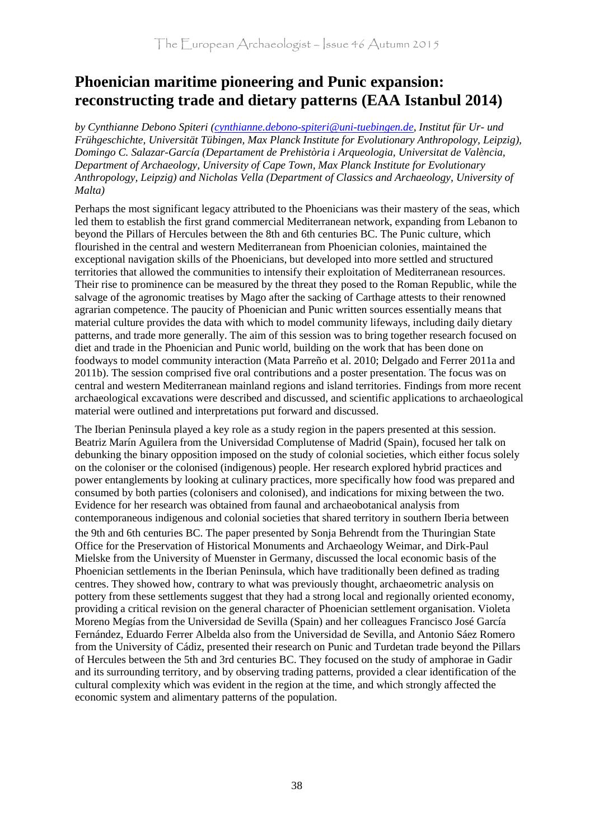## **Phoenician maritime pioneering and Punic expansion: reconstructing trade and dietary patterns (EAA Istanbul 2014)**

*by Cynthianne Debono Spiteri (cynthianne.debono-spiteri@uni-tuebingen.de, Institut für Ur- und Frühgeschichte, Universität Tübingen, Max Planck Institute for Evolutionary Anthropology, Leipzig), Domingo C. Salazar-García (Departament de Prehistòria i Arqueologia, Universitat de València, Department of Archaeology, University of Cape Town, Max Planck Institute for Evolutionary Anthropology, Leipzig) and Nicholas Vella (Department of Classics and Archaeology, University of Malta)*

Perhaps the most significant legacy attributed to the Phoenicians was their mastery of the seas, which led them to establish the first grand commercial Mediterranean network, expanding from Lebanon to beyond the Pillars of Hercules between the 8th and 6th centuries BC. The Punic culture, which flourished in the central and western Mediterranean from Phoenician colonies, maintained the exceptional navigation skills of the Phoenicians, but developed into more settled and structured territories that allowed the communities to intensify their exploitation of Mediterranean resources. [Their rise to prominence can b](http://www.e-a-a.org/wg2.htm)e measured by the threat they posed to the Roman Republic, while the salvage of the agronomic treatises by Mago after the sacking of Carthage attests to their renowned agrarian competence. The paucity of Phoenician and Punic written sources essentially means that material culture provides the data with which to model community lifeways, including daily dietary patterns, and trade more generally. The aim of this session was to bring together research focused on diet and trade in the Phoenician and Punic world, building on the work that has been done on foodways to model communit[y interaction \(Mata Parreño et al. 2010; Delgad](mailto:cynthianne.debono-spiteri@uni-tuebingen.de)o and Ferrer 2011a and 2011b). The session comprised five oral contributions and a poster presentation. The focus was on central and western Mediterranean mainland regions and island territories. Findings from more recent archaeological excavations were described and discussed, and scientific applications to archaeological material were outlined and interpretations put forward and discussed.

The Iberian Peninsula played a key role as a study region in the papers presented at this session. Beatriz Marín Aguilera from the Universidad Complutense of Madrid (Spain), focused her talk on debunking the binary opposition imposed on the study of colonial societies, which either focus solely on the coloniser or the colonised (indigenous) people. Her research explored hybrid practices and power entanglements by looking at culinary practices, more specifically how food was prepared and consumed by both parties (colonisers and colonised), and indications for mixing between the two. Evidence for her research was obtained from faunal and archaeobotanical analysis from contemporaneous indigenous and colonial societies that shared territory in southern Iberia between the 9th and 6th centuries BC. The paper presented by Sonja Behrendt from the Thuringian State Office for the Preservation of Historical Monuments and Archaeology Weimar, and Dirk-Paul Mielske from the University of Muenster in Germany, discussed the local economic basis of the Phoenician settlements in the Iberian Peninsula, which have traditionally been defined as trading centres. They showed how, contrary to what was previously thought, archaeometric analysis on pottery from these settlements suggest that they had a strong local and regionally oriented economy, providing a critical revision on the general character of Phoenician settlement organisation. Violeta Moreno Megías from the Universidad de Sevilla (Spain) and her colleagues Francisco José García Fernández, Eduardo Ferrer Albelda also from the Universidad de Sevilla, and Antonio Sáez Romero from the University of Cádiz, presented their research on Punic and Turdetan trade beyond the Pillars of Hercules between the 5th and 3rd centuries BC. They focused on the study of amphorae in Gadir and its surrounding territory, and by observing trading patterns, provided a clear identification of the cultural complexity which was evident in the region at the time, and which strongly affected the economic system and alimentary patterns of the population.